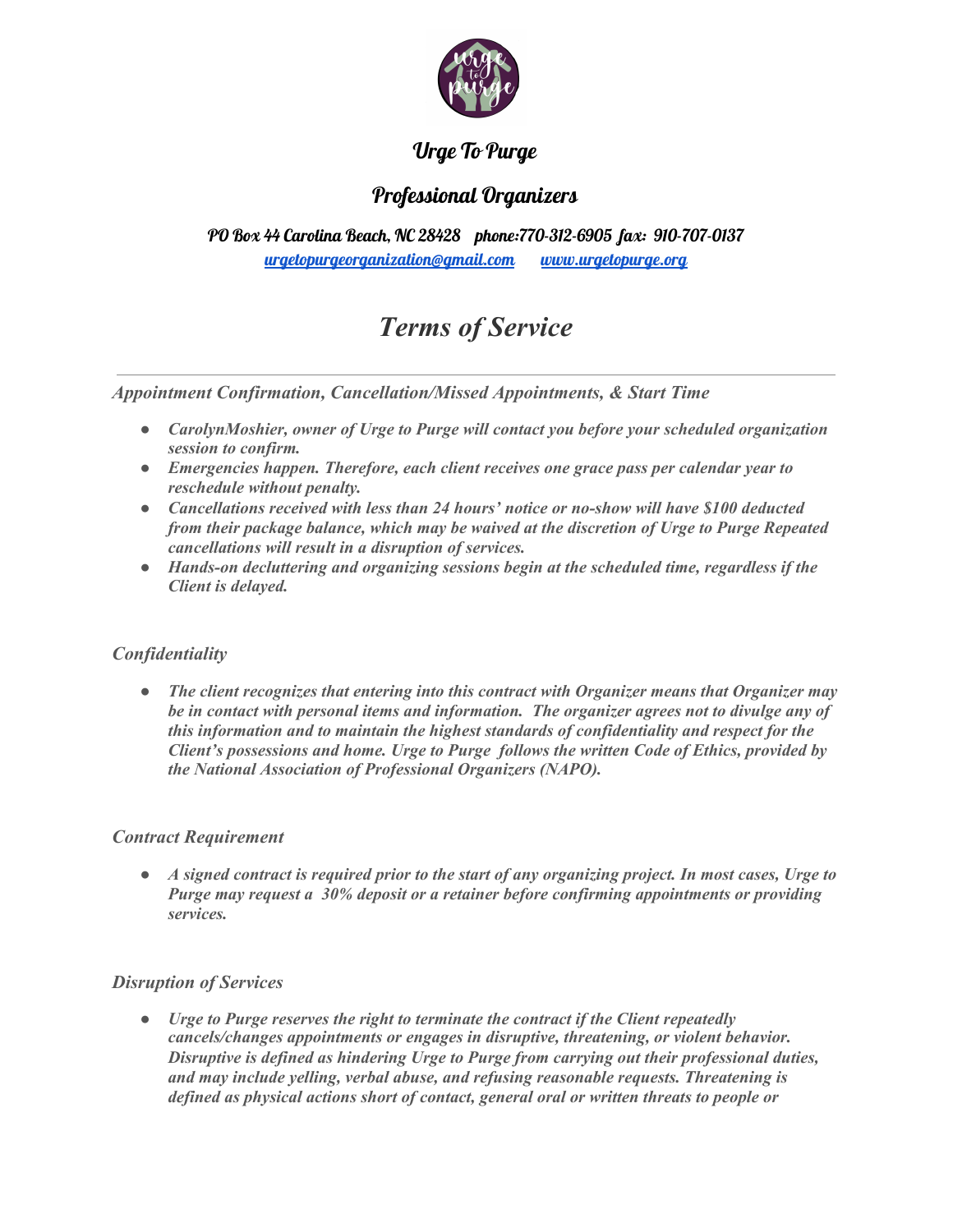

# Urge To Purge

# Professional Organizers

PO Box 44 Carolina Beach, NC 28428 phone:770-312-6905 fax: 910-707-0137 [urgetopurgeorganization@gmail.com](mailto:urgetopurgeorganization@gmail.com) [www.urgetopurge.org](http://www.urgetopurge.org/)

# *Terms of Service*

*Appointment Confirmation, Cancellation/Missed Appointments, & Start Time*

- *● CarolynMoshier, owner of Urge to Purge will contact you before your scheduled organization session to confirm.*
- *● Emergencies happen. Therefore, each client receives one grace pass per calendar year to reschedule without penalty.*
- *● Cancellations received with less than 24 hours' notice or no-show will have \$100 deducted from their package balance, which may be waived at the discretion of Urge to Purge Repeated cancellations will result in a disruption of services.*
- *● Hands-on decluttering and organizing sessions begin at the scheduled time, regardless if the Client is delayed.*

# *Confidentiality*

*● The client recognizes that entering into this contract with Organizer means that Organizer may be in contact with personal items and information. The organizer agrees not to divulge any of this information and to maintain the highest standards of confidentiality and respect for the Client's possessions and home. Urge to Purge follows the written Code of Ethics, provided by the National Association of Professional Organizers (NAPO).*

# *Contract Requirement*

 $\bullet$  A signed contract is required prior to the start of any organizing project. In most cases, Urge to *Purge may request a 30% deposit or a retainer before confirming appointments or providing services.*

# *Disruption of Services*

*● Urge to Purge reserves the right to terminate the contract if the Client repeatedly cancels/changes appointments or engages in disruptive, threatening, or violent behavior. Disruptive is defined as hindering Urge to Purge from carrying out their professional duties, and may include yelling, verbal abuse, and refusing reasonable requests. Threatening is defined as physical actions short of contact, general oral or written threats to people or*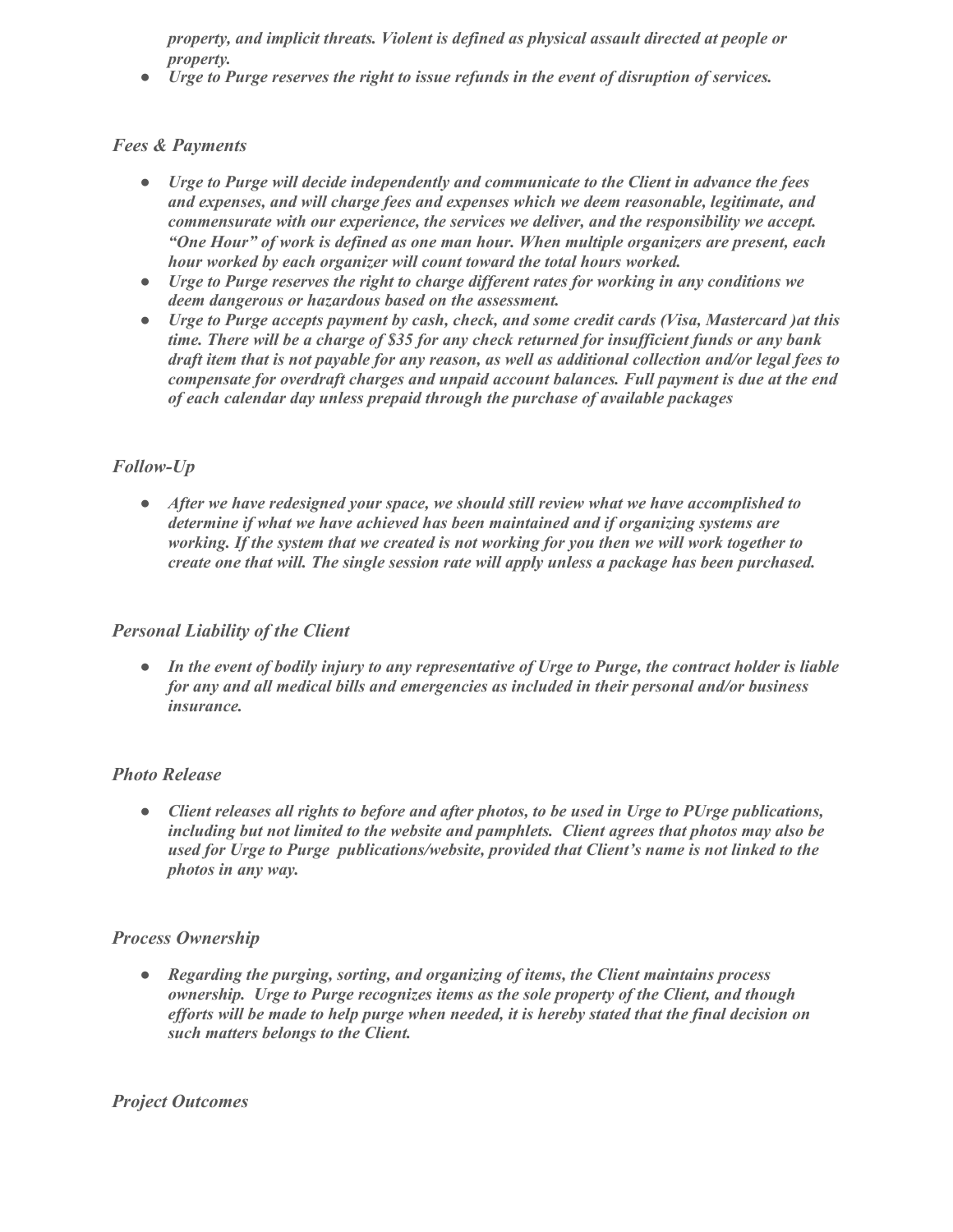*property, and implicit threats. Violent is defined as physical assault directed at people or property.*

*● Urge to Purge reserves the right to issue refunds in the event of disruption of services.*

#### *Fees & Payments*

- *● Urge to Purge will decide independently and communicate to the Client in advance the fees and expenses, and will charge fees and expenses which we deem reasonable, legitimate, and commensurate with our experience, the services we deliver, and the responsibility we accept. "One Hour" of work is defined as one man hour. When multiple organizers are present, each hour worked by each organizer will count toward the total hours worked.*
- *● Urge to Purge reserves the right to charge dif erent rates for working in any conditions we deem dangerous or hazardous based on the assessment.*
- *● Urge to Purge accepts payment by cash, check, and some credit cards (Visa, Mastercard )at this* time. There will be a charge of \$35 for any check returned for insufficient funds or any bank draft item that is not payable for any reason, as well as additional collection and/or legal fees to *compensate for overdraft charges and unpaid account balances. Full payment is due at the end of each calendar day unless prepaid through the purchase of available packages*

#### *Follow-Up*

*● After we have redesigned your space, we should still review what we have accomplished to determine if what we have achieved has been maintained and if organizing systems are working. If the system that we created is not working for you then we will work together to create one that will. The single session rate will apply unless a package has been purchased.*

#### *Personal Liability of the Client*

• In the event of bodily injury to any representative of Urge to Purge, the contract holder is liable *for any and all medical bills and emergencies as included in their personal and/or business insurance.*

#### *Photo Release*

*● Client releases all rights to before and after photos, to be used in Urge to PUrge publications, including but not limited to the website and pamphlets. Client agrees that photos may also be used for Urge to Purge publications/website, provided that Client's name is not linked to the photos in any way.*

#### *Process Ownership*

*● Regarding the purging, sorting, and organizing of items, the Client maintains process ownership. Urge to Purge recognizes items as the sole property of the Client, and though* efforts will be made to help purge when needed, it is hereby stated that the final decision on *such matters belongs to the Client.*

#### *Project Outcomes*